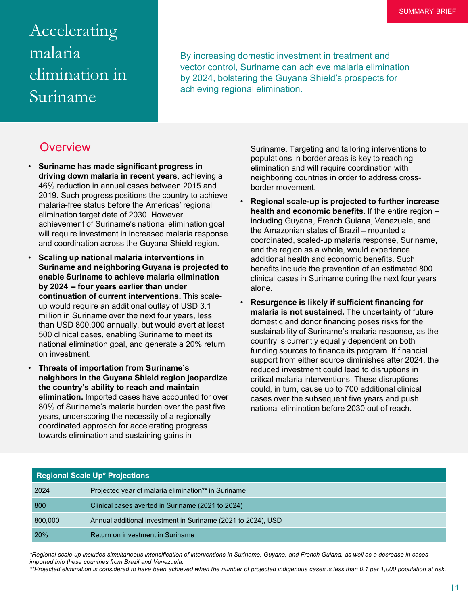# Accelerating malaria elimination in Suriname

By increasing domestic investment in treatment and vector control, Suriname can achieve malaria elimination by 2024, bolstering the Guyana Shield's prospects for achieving regional elimination.

### **Overview**

- **Suriname has made significant progress in driving down malaria in recent years**, achieving a 46% reduction in annual cases between 2015 and 2019. Such progress positions the country to achieve malaria-free status before the Americas' regional elimination target date of 2030. However, achievement of Suriname's national elimination goal will require investment in increased malaria response and coordination across the Guyana Shield region.
- **Scaling up national malaria interventions in Suriname and neighboring Guyana is projected to enable Suriname to achieve malaria elimination by 2024 -- four years earlier than under continuation of current interventions.** This scaleup would require an additional outlay of USD 3.1 million in Suriname over the next four years, less than USD 800,000 annually, but would avert at least 500 clinical cases, enabling Suriname to meet its national elimination goal, and generate a 20% return on investment.
- **Threats of importation from Suriname's neighbors in the Guyana Shield region jeopardize the country's ability to reach and maintain elimination.** Imported cases have accounted for over 80% of Suriname's malaria burden over the past five years, underscoring the necessity of a regionally coordinated approach for accelerating progress towards elimination and sustaining gains in

Suriname. Targeting and tailoring interventions to populations in border areas is key to reaching elimination and will require coordination with neighboring countries in order to address crossborder movement.

- **Regional scale-up is projected to further increase health and economic benefits.** If the entire region – including Guyana, French Guiana, Venezuela, and the Amazonian states of Brazil – mounted a coordinated, scaled-up malaria response, Suriname, and the region as a whole, would experience additional health and economic benefits. Such benefits include the prevention of an estimated 800 clinical cases in Suriname during the next four years alone.
- **Resurgence is likely if sufficient financing for malaria is not sustained.** The uncertainty of future domestic and donor financing poses risks for the sustainability of Suriname's malaria response, as the country is currently equally dependent on both funding sources to finance its program. If financial support from either source diminishes after 2024, the reduced investment could lead to disruptions in critical malaria interventions. These disruptions could, in turn, cause up to 700 additional clinical cases over the subsequent five years and push national elimination before 2030 out of reach.

| Regional Scale Up* Projections |                                                              |
|--------------------------------|--------------------------------------------------------------|
| 2024                           | Projected year of malaria elimination** in Suriname          |
| 800                            | Clinical cases averted in Suriname (2021 to 2024)            |
| 800,000                        | Annual additional investment in Suriname (2021 to 2024), USD |
| <b>20%</b>                     | Return on investment in Suriname                             |

*\*Regional scale-up includes simultaneous intensification of interventions in Suriname, Guyana, and French Guiana, as well as a decrease in cases imported into these countries from Brazil and Venezuela.* 

*\*\*Projected elimination is considered to have been achieved when the number of projected indigenous cases is less than 0.1 per 1,000 population at risk.*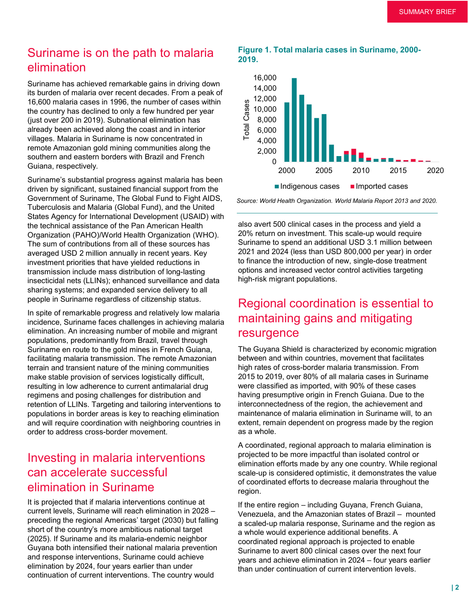### Suriname is on the path to malaria elimination

Suriname has achieved remarkable gains in driving down its burden of malaria over recent decades. From a peak of 16,600 malaria cases in 1996, the number of cases within the country has declined to only a few hundred per year (just over 200 in 2019). Subnational elimination has already been achieved along the coast and in interior villages. Malaria in Suriname is now concentrated in remote Amazonian gold mining communities along the southern and eastern borders with Brazil and French Guiana, respectively.

Suriname's substantial progress against malaria has been driven by significant, sustained financial support from the Government of Suriname, The Global Fund to Fight AIDS, Tuberculosis and Malaria (Global Fund), and the United States Agency for International Development (USAID) with the technical assistance of the Pan American Health Organization (PAHO)/World Health Organization (WHO). The sum of contributions from all of these sources has averaged USD 2 million annually in recent years. Key investment priorities that have yielded reductions in transmission include mass distribution of long-lasting insecticidal nets (LLINs); enhanced surveillance and data sharing systems; and expanded service delivery to all people in Suriname regardless of citizenship status.

In spite of remarkable progress and relatively low malaria incidence, Suriname faces challenges in achieving malaria elimination. An increasing number of mobile and migrant populations, predominantly from Brazil, travel through Suriname en route to the gold mines in French Guiana, facilitating malaria transmission. The remote Amazonian terrain and transient nature of the mining communities make stable provision of services logistically difficult, resulting in low adherence to current antimalarial drug regimens and posing challenges for distribution and retention of LLINs. Targeting and tailoring interventions to populations in border areas is key to reaching elimination and will require coordination with neighboring countries in order to address cross-border movement.

### Investing in malaria interventions can accelerate successful elimination in Suriname

It is projected that if malaria interventions continue at current levels, Suriname will reach elimination in 2028 – preceding the regional Americas' target (2030) but falling short of the country's more ambitious national target (2025). If Suriname and its malaria-endemic neighbor Guyana both intensified their national malaria prevention and response interventions, Suriname could achieve elimination by 2024, four years earlier than under continuation of current interventions. The country would

#### **Figure 1. Total malaria cases in Suriname, 2000- 2019.**



*Source: World Health Organization. World Malaria Report 2013 and 2020.*

also avert 500 clinical cases in the process and yield a 20% return on investment. This scale-up would require Suriname to spend an additional USD 3.1 million between 2021 and 2024 (less than USD 800,000 per year) in order to finance the introduction of new, single-dose treatment options and increased vector control activities targeting high-risk migrant populations.

# Regional coordination is essential to maintaining gains and mitigating resurgence

The Guyana Shield is characterized by economic migration between and within countries, movement that facilitates high rates of cross-border malaria transmission. From 2015 to 2019, over 80% of all malaria cases in Suriname were classified as imported, with 90% of these cases having presumptive origin in French Guiana. Due to the interconnectedness of the region, the achievement and maintenance of malaria elimination in Suriname will, to an extent, remain dependent on progress made by the region as a whole.

A coordinated, regional approach to malaria elimination is projected to be more impactful than isolated control or elimination efforts made by any one country. While regional scale-up is considered optimistic, it demonstrates the value of coordinated efforts to decrease malaria throughout the region.

If the entire region – including Guyana, French Guiana, Venezuela, and the Amazonian states of Brazil – mounted a scaled-up malaria response, Suriname and the region as a whole would experience additional benefits. A coordinated regional approach is projected to enable Suriname to avert 800 clinical cases over the next four years and achieve elimination in 2024 – four years earlier than under continuation of current intervention levels.